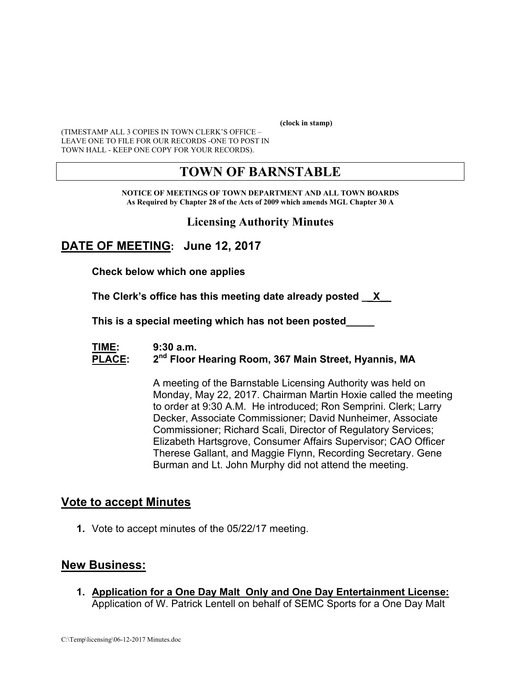**(clock in stamp)** 

(TIMESTAMP ALL 3 COPIES IN TOWN CLERK'S OFFICE – LEAVE ONE TO FILE FOR OUR RECORDS -ONE TO POST IN TOWN HALL - KEEP ONE COPY FOR YOUR RECORDS).

# **TOWN OF BARNSTABLE**

**NOTICE OF MEETINGS OF TOWN DEPARTMENT AND ALL TOWN BOARDS As Required by Chapter 28 of the Acts of 2009 which amends MGL Chapter 30 A** 

#### **Licensing Authority Minutes**

### **DATE OF MEETING: June 12, 2017**

**Check below which one applies** 

**The Clerk's office has this meeting date already posted \_\_X\_\_** 

 **This is a special meeting which has not been posted\_\_\_\_\_** 

#### **TIME: 9:30 a.m. PLACE: 2nd Floor Hearing Room, 367 Main Street, Hyannis, MA**

A meeting of the Barnstable Licensing Authority was held on Monday, May 22, 2017. Chairman Martin Hoxie called the meeting to order at 9:30 A.M. He introduced; Ron Semprini. Clerk; Larry Decker, Associate Commissioner; David Nunheimer, Associate Commissioner; Richard Scali, Director of Regulatory Services; Elizabeth Hartsgrove, Consumer Affairs Supervisor; CAO Officer Therese Gallant, and Maggie Flynn, Recording Secretary. Gene Burman and Lt. John Murphy did not attend the meeting.

#### **Vote to accept Minutes**

**1.** Vote to accept minutes of the 05/22/17 meeting.

#### **New Business:**

**1. Application for a One Day Malt Only and One Day Entertainment License:**  Application of W. Patrick Lentell on behalf of SEMC Sports for a One Day Malt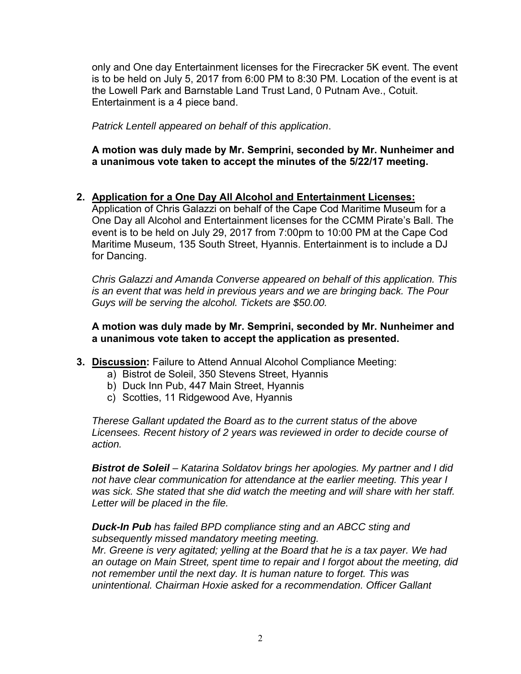only and One day Entertainment licenses for the Firecracker 5K event. The event is to be held on July 5, 2017 from 6:00 PM to 8:30 PM. Location of the event is at the Lowell Park and Barnstable Land Trust Land, 0 Putnam Ave., Cotuit. Entertainment is a 4 piece band.

*Patrick Lentell appeared on behalf of this application*.

**A motion was duly made by Mr. Semprini, seconded by Mr. Nunheimer and a unanimous vote taken to accept the minutes of the 5/22/17 meeting.** 

**2. Application for a One Day All Alcohol and Entertainment Licenses:**

Application of Chris Galazzi on behalf of the Cape Cod Maritime Museum for a One Day all Alcohol and Entertainment licenses for the CCMM Pirate's Ball. The event is to be held on July 29, 2017 from 7:00pm to 10:00 PM at the Cape Cod Maritime Museum, 135 South Street, Hyannis. Entertainment is to include a DJ for Dancing.

*Chris Galazzi and Amanda Converse appeared on behalf of this application. This is an event that was held in previous years and we are bringing back. The Pour Guys will be serving the alcohol. Tickets are \$50.00.* 

**A motion was duly made by Mr. Semprini, seconded by Mr. Nunheimer and a unanimous vote taken to accept the application as presented.** 

- **3. Discussion:** Failure to Attend Annual Alcohol Compliance Meeting:
	- a) Bistrot de Soleil, 350 Stevens Street, Hyannis
	- b) Duck Inn Pub, 447 Main Street, Hyannis
	- c) Scotties, 11 Ridgewood Ave, Hyannis

*Therese Gallant updated the Board as to the current status of the above Licensees. Recent history of 2 years was reviewed in order to decide course of action.* 

*Bistrot de Soleil – Katarina Soldatov brings her apologies. My partner and I did not have clear communication for attendance at the earlier meeting. This year I was sick. She stated that she did watch the meeting and will share with her staff. Letter will be placed in the file.* 

*Duck-In Pub has failed BPD compliance sting and an ABCC sting and subsequently missed mandatory meeting meeting. Mr. Greene is very agitated; yelling at the Board that he is a tax payer. We had an outage on Main Street, spent time to repair and I forgot about the meeting, did not remember until the next day. It is human nature to forget. This was unintentional. Chairman Hoxie asked for a recommendation. Officer Gallant*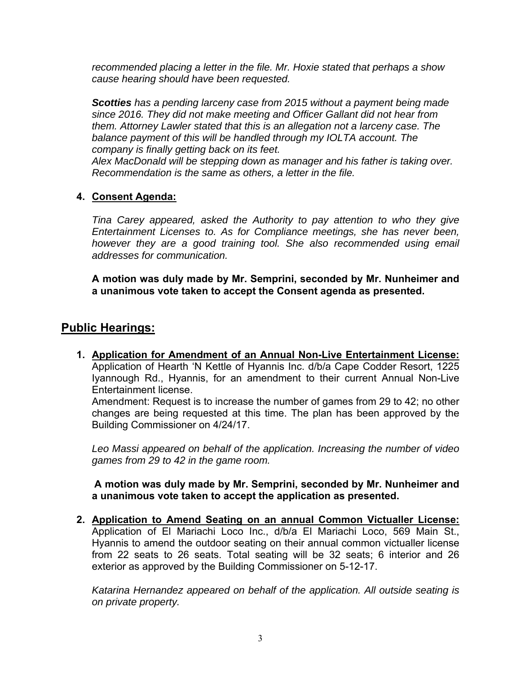*recommended placing a letter in the file. Mr. Hoxie stated that perhaps a show cause hearing should have been requested.* 

*Scotties has a pending larceny case from 2015 without a payment being made since 2016. They did not make meeting and Officer Gallant did not hear from them. Attorney Lawler stated that this is an allegation not a larceny case. The balance payment of this will be handled through my IOLTA account. The company is finally getting back on its feet.* 

*Alex MacDonald will be stepping down as manager and his father is taking over. Recommendation is the same as others, a letter in the file.* 

#### **4. Consent Agenda:**

*Tina Carey appeared, asked the Authority to pay attention to who they give Entertainment Licenses to. As for Compliance meetings, she has never been, however they are a good training tool. She also recommended using email addresses for communication.* 

**A motion was duly made by Mr. Semprini, seconded by Mr. Nunheimer and a unanimous vote taken to accept the Consent agenda as presented.** 

#### **Public Hearings:**

**1. Application for Amendment of an Annual Non-Live Entertainment License:**  Application of Hearth 'N Kettle of Hyannis Inc. d/b/a Cape Codder Resort, 1225 Iyannough Rd., Hyannis, for an amendment to their current Annual Non-Live Entertainment license.

Amendment: Request is to increase the number of games from 29 to 42; no other changes are being requested at this time. The plan has been approved by the Building Commissioner on 4/24/17.

*Leo Massi appeared on behalf of the application. Increasing the number of video games from 29 to 42 in the game room.* 

**A motion was duly made by Mr. Semprini, seconded by Mr. Nunheimer and a unanimous vote taken to accept the application as presented.** 

**2. Application to Amend Seating on an annual Common Victualler License:**  Application of El Mariachi Loco Inc., d/b/a El Mariachi Loco, 569 Main St., Hyannis to amend the outdoor seating on their annual common victualler license from 22 seats to 26 seats. Total seating will be 32 seats; 6 interior and 26 exterior as approved by the Building Commissioner on 5-12-17.

*Katarina Hernandez appeared on behalf of the application. All outside seating is on private property.*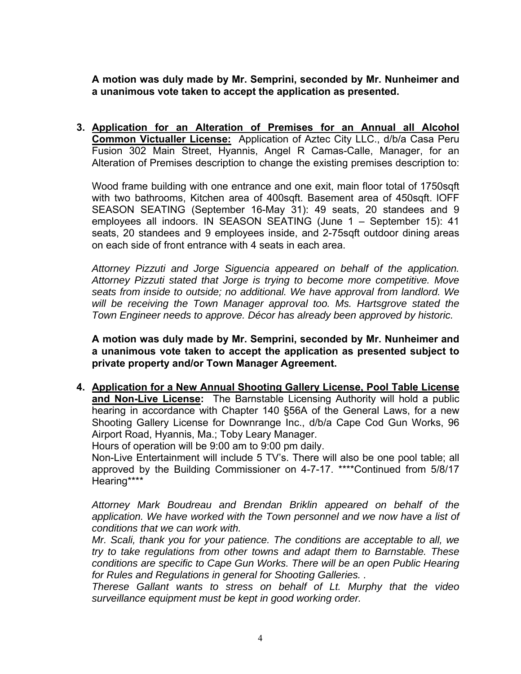**A motion was duly made by Mr. Semprini, seconded by Mr. Nunheimer and a unanimous vote taken to accept the application as presented.** 

**3. Application for an Alteration of Premises for an Annual all Alcohol Common Victualler License:** Application of Aztec City LLC., d/b/a Casa Peru Fusion 302 Main Street, Hyannis, Angel R Camas-Calle, Manager, for an Alteration of Premises description to change the existing premises description to:

Wood frame building with one entrance and one exit, main floor total of 1750sqft with two bathrooms, Kitchen area of 400sqft. Basement area of 450sqft. lOFF SEASON SEATING (September 16-May 31): 49 seats, 20 standees and 9 employees all indoors. IN SEASON SEATING (June 1 – September 15): 41 seats, 20 standees and 9 employees inside, and 2-75sqft outdoor dining areas on each side of front entrance with 4 seats in each area.

*Attorney Pizzuti and Jorge Siguencia appeared on behalf of the application. Attorney Pizzuti stated that Jorge is trying to become more competitive. Move seats from inside to outside; no additional. We have approval from landlord. We will be receiving the Town Manager approval too. Ms. Hartsgrove stated the Town Engineer needs to approve. Décor has already been approved by historic.* 

**A motion was duly made by Mr. Semprini, seconded by Mr. Nunheimer and a unanimous vote taken to accept the application as presented subject to private property and/or Town Manager Agreement.**

**4. Application for a New Annual Shooting Gallery License, Pool Table License and Non-Live License:** The Barnstable Licensing Authority will hold a public hearing in accordance with Chapter 140 §56A of the General Laws, for a new Shooting Gallery License for Downrange Inc., d/b/a Cape Cod Gun Works, 96 Airport Road, Hyannis, Ma.; Toby Leary Manager.

Hours of operation will be 9:00 am to 9:00 pm daily.

Non-Live Entertainment will include 5 TV's. There will also be one pool table; all approved by the Building Commissioner on 4-7-17. \*\*\*\*Continued from 5/8/17 Hearing\*\*\*\*

*Attorney Mark Boudreau and Brendan Briklin appeared on behalf of the application. We have worked with the Town personnel and we now have a list of conditions that we can work with.* 

*Mr. Scali, thank you for your patience. The conditions are acceptable to all, we try to take regulations from other towns and adapt them to Barnstable. These conditions are specific to Cape Gun Works. There will be an open Public Hearing for Rules and Regulations in general for Shooting Galleries. .* 

*Therese Gallant wants to stress on behalf of Lt. Murphy that the video surveillance equipment must be kept in good working order.*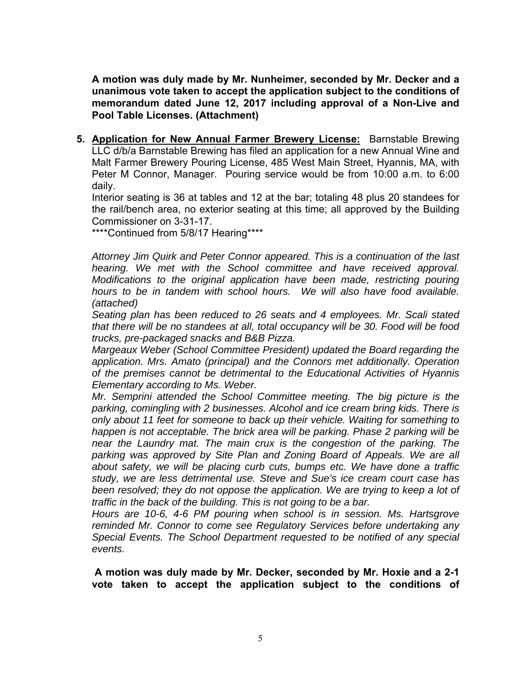**A motion was duly made by Mr. Nunheimer, seconded by Mr. Decker and a unanimous vote taken to accept the application subject to the conditions of memorandum dated June 12, 2017 including approval of a Non-Live and Pool Table Licenses. (Attachment)**

**5. Application for New Annual Farmer Brewery License:** Barnstable Brewing LLC d/b/a Barnstable Brewing has filed an application for a new Annual Wine and Malt Farmer Brewery Pouring License, 485 West Main Street, Hyannis, MA, with Peter M Connor, Manager. Pouring service would be from 10:00 a.m. to 6:00 daily.

Interior seating is 36 at tables and 12 at the bar; totaling 48 plus 20 standees for the rail/bench area, no exterior seating at this time; all approved by the Building Commissioner on 3-31-17.

\*\*\*\*Continued from 5/8/17 Hearing\*\*\*\*

*Attorney Jim Quirk and Peter Connor appeared. This is a continuation of the last hearing. We met with the School committee and have received approval. Modifications to the original application have been made, restricting pouring hours to be in tandem with school hours. We will also have food available. (attached)* 

*Seating plan has been reduced to 26 seats and 4 employees. Mr. Scali stated that there will be no standees at all, total occupancy will be 30. Food will be food trucks, pre-packaged snacks and B&B Pizza.* 

*Margeaux Weber (School Committee President) updated the Board regarding the application. Mrs. Amato (principal) and the Connors met additionally. Operation of the premises cannot be detrimental to the Educational Activities of Hyannis Elementary according to Ms. Weber.* 

*Mr. Semprini attended the School Committee meeting. The big picture is the parking, comingling with 2 businesses. Alcohol and ice cream bring kids. There is only about 11 feet for someone to back up their vehicle. Waiting for something to happen is not acceptable. The brick area will be parking. Phase 2 parking will be near the Laundry mat. The main crux is the congestion of the parking. The parking was approved by Site Plan and Zoning Board of Appeals. We are all about safety, we will be placing curb cuts, bumps etc. We have done a traffic study, we are less detrimental use. Steve and Sue's ice cream court case has*  been resolved; they do not oppose the application. We are trying to keep a lot of *traffic in the back of the building. This is not going to be a bar.* 

*Hours are 10-6, 4-6 PM pouring when school is in session. Ms. Hartsgrove reminded Mr. Connor to come see Regulatory Services before undertaking any Special Events. The School Department requested to be notified of any special events.* 

**A motion was duly made by Mr. Decker, seconded by Mr. Hoxie and a 2-1 vote taken to accept the application subject to the conditions of**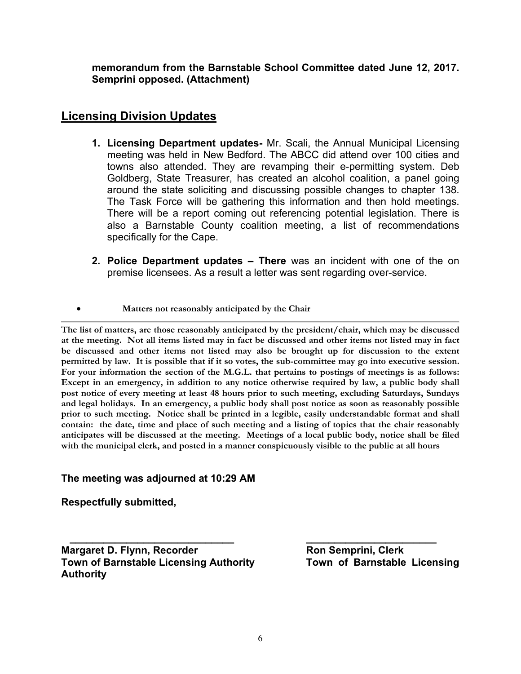**memorandum from the Barnstable School Committee dated June 12, 2017. Semprini opposed. (Attachment)** 

## **Licensing Division Updates**

- **1. Licensing Department updates-** Mr. Scali, the Annual Municipal Licensing meeting was held in New Bedford. The ABCC did attend over 100 cities and towns also attended. They are revamping their e-permitting system. Deb Goldberg, State Treasurer, has created an alcohol coalition, a panel going around the state soliciting and discussing possible changes to chapter 138. The Task Force will be gathering this information and then hold meetings. There will be a report coming out referencing potential legislation. There is also a Barnstable County coalition meeting, a list of recommendations specifically for the Cape.
- **2. Police Department updates There** was an incident with one of the on premise licensees. As a result a letter was sent regarding over-service.
- **Matters not reasonably anticipated by the Chair**

**The list of matters, are those reasonably anticipated by the president/chair, which may be discussed at the meeting. Not all items listed may in fact be discussed and other items not listed may in fact be discussed and other items not listed may also be brought up for discussion to the extent permitted by law. It is possible that if it so votes, the sub-committee may go into executive session. For your information the section of the M.G.L. that pertains to postings of meetings is as follows: Except in an emergency, in addition to any notice otherwise required by law, a public body shall post notice of every meeting at least 48 hours prior to such meeting, excluding Saturdays, Sundays and legal holidays. In an emergency, a public body shall post notice as soon as reasonably possible prior to such meeting. Notice shall be printed in a legible, easily understandable format and shall contain: the date, time and place of such meeting and a listing of topics that the chair reasonably anticipates will be discussed at the meeting. Meetings of a local public body, notice shall be filed with the municipal clerk, and posted in a manner conspicuously visible to the public at all hours** 

#### **The meeting was adjourned at 10:29 AM**

**Respectfully submitted,** 

**Margaret D. Flynn, Recorder Ron Semprini, Clerk Town of Barnstable Licensing Authority Authority**

 **\_\_\_\_\_\_\_\_\_\_\_\_\_\_\_\_\_\_\_\_\_\_\_\_\_\_\_\_\_ \_\_\_\_\_\_\_\_\_\_\_\_\_\_\_\_\_\_\_\_\_\_\_**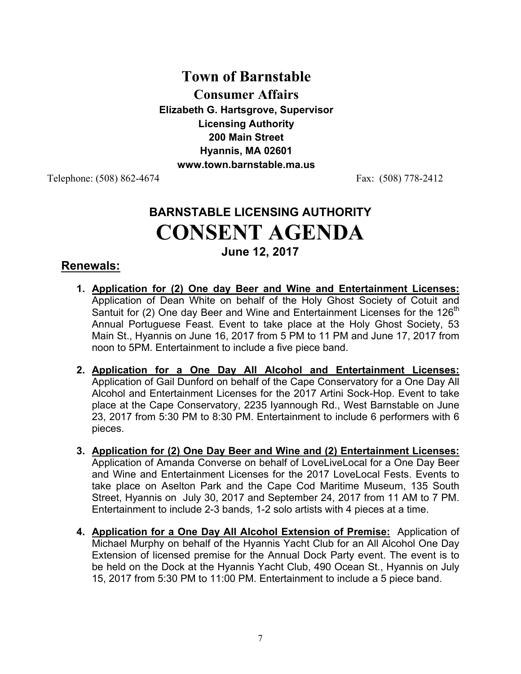# **Town of Barnstable Consumer Affairs Elizabeth G. Hartsgrove, Supervisor Licensing Authority 200 Main Street Hyannis, MA 02601 www.town.barnstable.ma.us**

Telephone: (508) 862-4674 Fax: (508) 778-2412

# **BARNSTABLE LICENSING AUTHORITY CONSENT AGENDA June 12, 2017**

## **Renewals:**

- **1. Application for (2) One day Beer and Wine and Entertainment Licenses:**  Application of Dean White on behalf of the Holy Ghost Society of Cotuit and Santuit for (2) One day Beer and Wine and Entertainment Licenses for the 126<sup>th</sup> Annual Portuguese Feast. Event to take place at the Holy Ghost Society, 53 Main St., Hyannis on June 16, 2017 from 5 PM to 11 PM and June 17, 2017 from noon to 5PM. Entertainment to include a five piece band.
- **2. Application for a One Day All Alcohol and Entertainment Licenses:** Application of Gail Dunford on behalf of the Cape Conservatory for a One Day All Alcohol and Entertainment Licenses for the 2017 Artini Sock-Hop. Event to take place at the Cape Conservatory, 2235 Iyannough Rd., West Barnstable on June 23, 2017 from 5:30 PM to 8:30 PM. Entertainment to include 6 performers with 6 pieces.
- **3. Application for (2) One Day Beer and Wine and (2) Entertainment Licenses:** Application of Amanda Converse on behalf of LoveLiveLocal for a One Day Beer and Wine and Entertainment Licenses for the 2017 LoveLocal Fests. Events to take place on Aselton Park and the Cape Cod Maritime Museum, 135 South Street, Hyannis on July 30, 2017 and September 24, 2017 from 11 AM to 7 PM. Entertainment to include 2-3 bands, 1-2 solo artists with 4 pieces at a time.
- **4. Application for a One Day All Alcohol Extension of Premise:** Application of Michael Murphy on behalf of the Hyannis Yacht Club for an All Alcohol One Day Extension of licensed premise for the Annual Dock Party event. The event is to be held on the Dock at the Hyannis Yacht Club, 490 Ocean St., Hyannis on July 15, 2017 from 5:30 PM to 11:00 PM. Entertainment to include a 5 piece band.